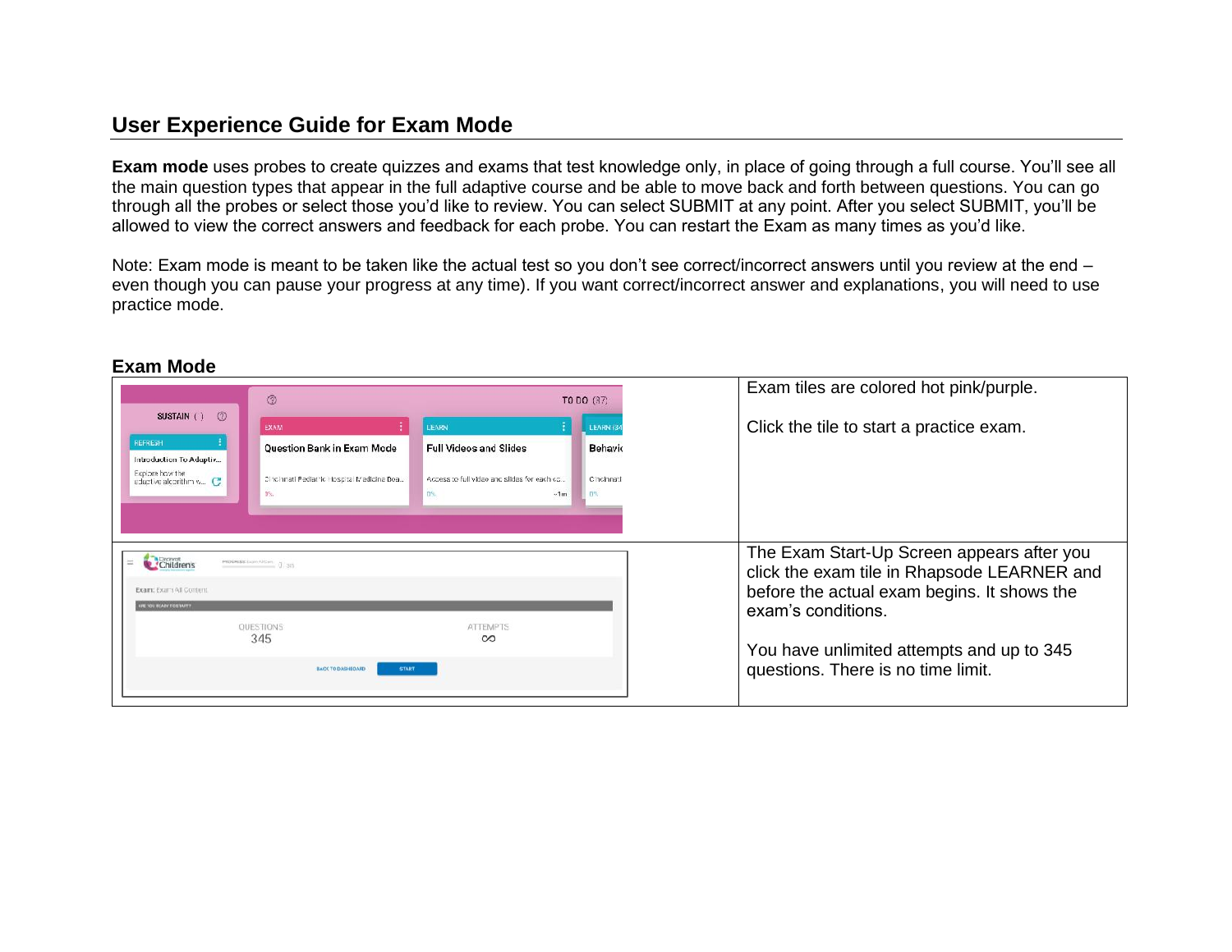## **User Experience Guide for Exam Mode**

**Exam mode** uses probes to create quizzes and exams that test knowledge only, in place of going through a full course. You'll see all the main question types that appear in the full adaptive course and be able to move back and forth between questions. You can go through all the probes or select those you'd like to review. You can select SUBMIT at any point. After you select SUBMIT, you'll be allowed to view the correct answers and feedback for each probe. You can restart the Exam as many times as you'd like.

Note: Exam mode is meant to be taken like the actual test so you don't see correct/incorrect answers until you review at the end – even though you can pause your progress at any time). If you want correct/incorrect answer and explanations, you will need to use practice mode.

|                                                                                                              | $^{\circledR}$<br>TO DO (37)                                                                   |                                                                                                         |                                          | Exam tiles are colored hot pink/purple.                                                                                                                                                                                                           |
|--------------------------------------------------------------------------------------------------------------|------------------------------------------------------------------------------------------------|---------------------------------------------------------------------------------------------------------|------------------------------------------|---------------------------------------------------------------------------------------------------------------------------------------------------------------------------------------------------------------------------------------------------|
| SUSTAIN () ⑦<br>REFRESH<br>Introduction To Adaptiv<br>Explore how the<br>adaptive alcorithm $v_{\cdots}$ $C$ | <b>EXAM</b><br>Question Bank in Exam Mode<br>Cincinnati Pediatric Hospital Medicine Boa<br>DS. | LEARN<br><b>Full Videos and Slides</b><br>Access to full video and slides for each co<br>DS.<br>$-1m$ . | LEARN (3)<br>Behavic<br>Cincinnati<br>D% | Click the tile to start a practice exam.                                                                                                                                                                                                          |
| Children's<br>Exam: Exam All Content<br><b>STRATIOT YGAIN SOL SUP</b>                                        | PROGRESS Exprediction. (3) 341<br>OUESTIONS<br>345<br><b>BACK TO DASHEOARD</b><br><b>START</b> | <b>ATTEMPTS</b><br>$\infty$                                                                             |                                          | The Exam Start-Up Screen appears after you<br>click the exam tile in Rhapsode LEARNER and<br>before the actual exam begins. It shows the<br>exam's conditions.<br>You have unlimited attempts and up to 345<br>questions. There is no time limit. |

## **Exam Mode**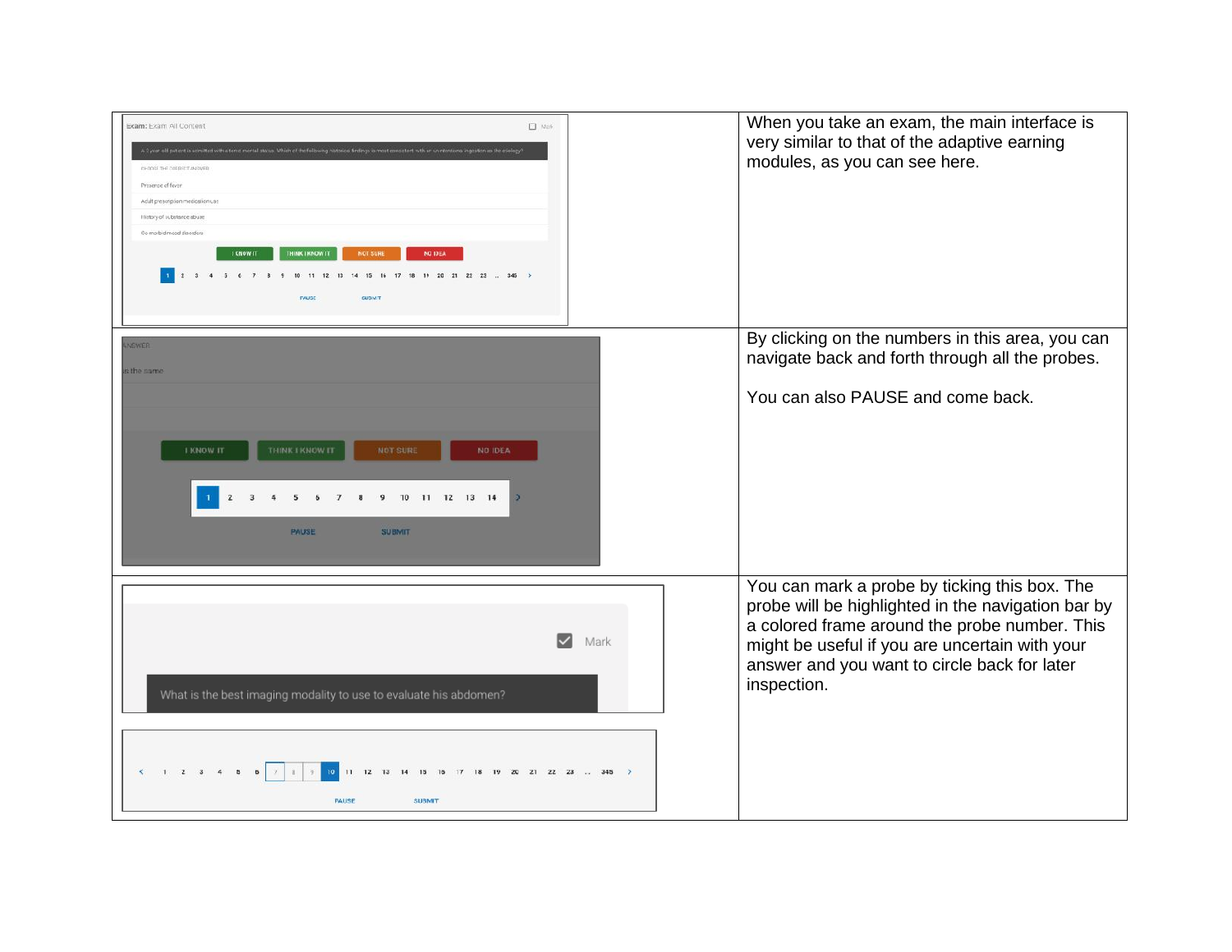| Exam: Exam All Content<br>$\Box$ Non-<br>A 2 year old patient is acmitted with a tens mental status. Which of the following nistorical Sndings is most consistent with an unintentional ingestion as the etiology<br>CHOOSE THE CORRECT ANOWER<br>Presence of fever<br>Adult prescription medication use<br>History of aubstance abuse<br>Co-morbid mood disorders<br>THINK I KNOW IT<br><b>KNOW IT</b><br><b>NOT SURE</b><br><b>NO IDEA</b><br>6 7 3 9 10 11 12 13 14 15 16 17 18<br>$-345$<br>19 20 21 22 23<br><b><i><u>TAUSE</u></i></b><br><b>EUBM T</b> | When you take an exam, the main interface is<br>very similar to that of the adaptive earning<br>modules, as you can see here.                                                                                                                                         |
|---------------------------------------------------------------------------------------------------------------------------------------------------------------------------------------------------------------------------------------------------------------------------------------------------------------------------------------------------------------------------------------------------------------------------------------------------------------------------------------------------------------------------------------------------------------|-----------------------------------------------------------------------------------------------------------------------------------------------------------------------------------------------------------------------------------------------------------------------|
| <b>NSWER</b><br>s the same                                                                                                                                                                                                                                                                                                                                                                                                                                                                                                                                    | By clicking on the numbers in this area, you can<br>navigate back and forth through all the probes.                                                                                                                                                                   |
| THINK I KNOW IT<br><b>I KNOW IT</b><br><b>NOT SURE</b><br><b>NO IDEA</b><br>$\overline{2}$<br>10 11 12 13 14<br>3<br>$\overline{\mathbf{5}}$<br>6<br>9<br><b>PAUSE</b><br><b>SUBMIT</b>                                                                                                                                                                                                                                                                                                                                                                       | You can also PAUSE and come back.                                                                                                                                                                                                                                     |
| $\vert\!\sqrt{ } \vert$<br>Mark<br>What is the best imaging modality to use to evaluate his abdomen?<br>1 2 3<br>10 <sup>10</sup><br>11 12 13 14 15 16<br>$\Delta$<br>$17$ $18$ $19$ $20$ $21$ $22$ $23$ $345$ >                                                                                                                                                                                                                                                                                                                                              | You can mark a probe by ticking this box. The<br>probe will be highlighted in the navigation bar by<br>a colored frame around the probe number. This<br>might be useful if you are uncertain with your<br>answer and you want to circle back for later<br>inspection. |
| <b>PALISE</b><br><b>SUBMIT</b>                                                                                                                                                                                                                                                                                                                                                                                                                                                                                                                                |                                                                                                                                                                                                                                                                       |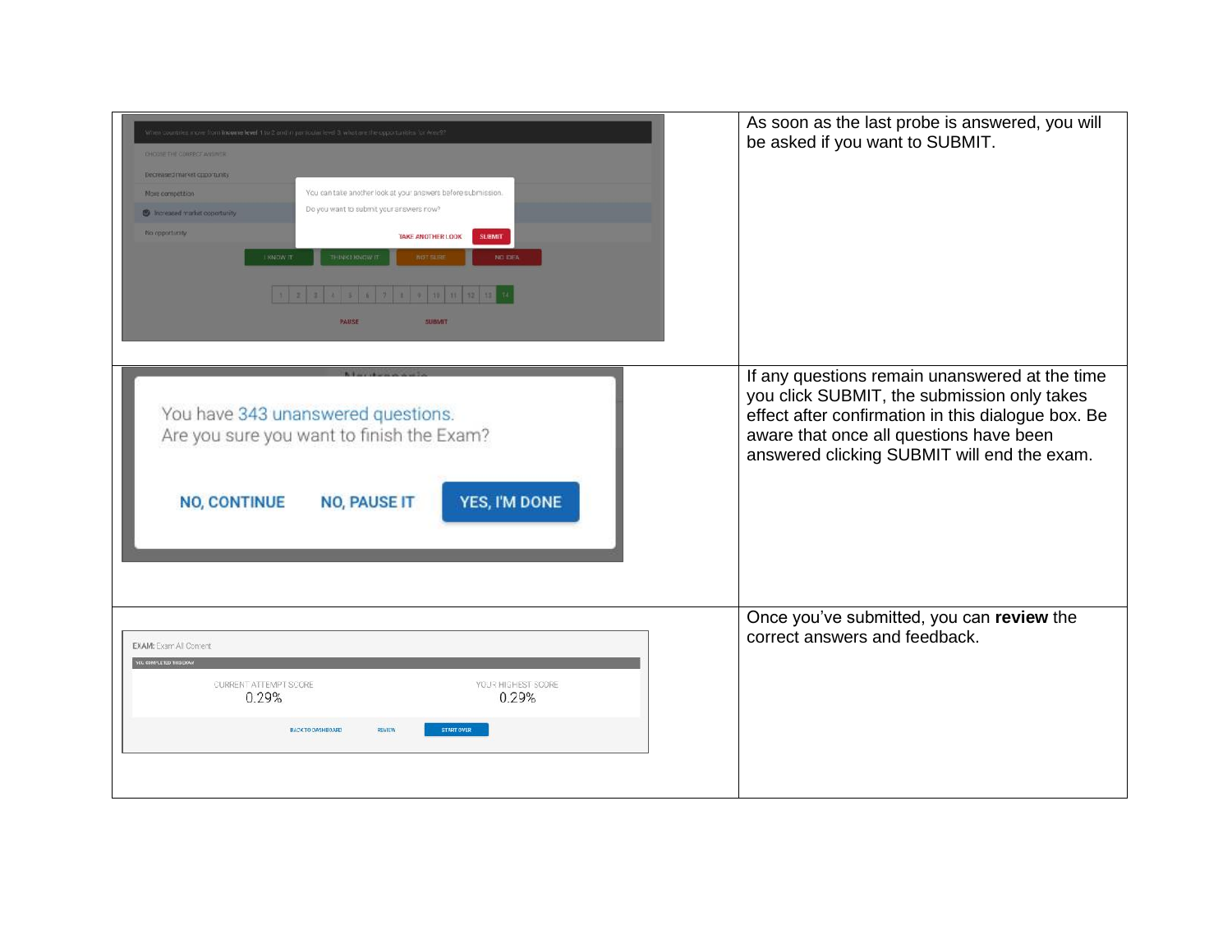| countries move from income level 1 to 2 and in particular level 3, what are the opportunities for Area??<br>Decreased market coportunity<br>You can take another look at your answers before submission.<br>More competition<br>Do you want to submit your answers now?<br><b>C</b> increased market opportunity<br>No opportunity<br><b>SUBMIT</b><br>TAKE ANOTHER LOOK<br>THINK LIONOW IT<br>KNOW IT<br>NO IDEA<br><b>NOT SLID</b><br>8 9 10 11 12<br>PAUSE<br>SUBMIT | As soon as the last probe is answered, you will<br>be asked if you want to SUBMIT.                                                                                                                                                            |
|-------------------------------------------------------------------------------------------------------------------------------------------------------------------------------------------------------------------------------------------------------------------------------------------------------------------------------------------------------------------------------------------------------------------------------------------------------------------------|-----------------------------------------------------------------------------------------------------------------------------------------------------------------------------------------------------------------------------------------------|
| You have 343 unanswered questions.<br>Are you sure you want to finish the Exam?<br>YES, I'M DONE<br><b>NO, CONTINUE</b><br><b>NO, PAUSE IT</b>                                                                                                                                                                                                                                                                                                                          | If any questions remain unanswered at the time<br>you click SUBMIT, the submission only takes<br>effect after confirmation in this dialogue box. Be<br>aware that once all questions have been<br>answered clicking SUBMIT will end the exam. |
| <b>EXAM:</b> Exam All Content<br><b>SCU COMPLETED THIS EXP</b><br>CURRENT ATTEMPT SCORE<br>YOUR HIGHEST SCORE<br>0.29%<br>0.29%<br><b>START OVER</b><br><b>BACK TO DASHBOARD</b><br><b>DEVIEW</b>                                                                                                                                                                                                                                                                       | Once you've submitted, you can review the<br>correct answers and feedback.                                                                                                                                                                    |